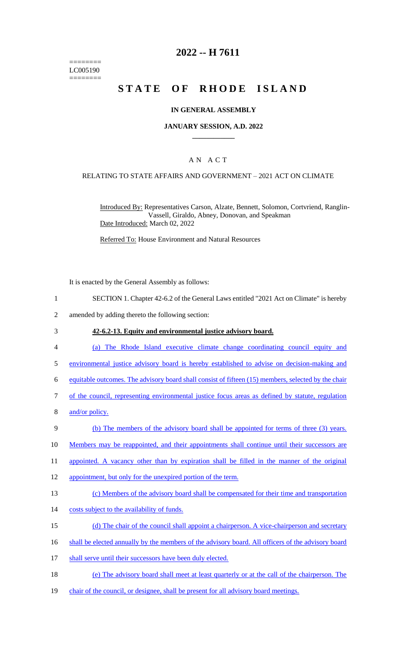======== LC005190 ========

## **2022 -- H 7611**

# **STATE OF RHODE ISLAND**

### **IN GENERAL ASSEMBLY**

### **JANUARY SESSION, A.D. 2022 \_\_\_\_\_\_\_\_\_\_\_\_**

### A N A C T

### RELATING TO STATE AFFAIRS AND GOVERNMENT – 2021 ACT ON CLIMATE

Introduced By: Representatives Carson, Alzate, Bennett, Solomon, Cortvriend, Ranglin-Vassell, Giraldo, Abney, Donovan, and Speakman Date Introduced: March 02, 2022

Referred To: House Environment and Natural Resources

It is enacted by the General Assembly as follows:

- 1 SECTION 1. Chapter 42-6.2 of the General Laws entitled "2021 Act on Climate" is hereby
- 2 amended by adding thereto the following section:

#### 3 **42-6.2-13. Equity and environmental justice advisory board.**

- 4 (a) The Rhode Island executive climate change coordinating council equity and
- 5 environmental justice advisory board is hereby established to advise on decision-making and
- 6 equitable outcomes. The advisory board shall consist of fifteen (15) members, selected by the chair
- 7 of the council, representing environmental justice focus areas as defined by statute, regulation
- 8 and/or policy.
- 9 (b) The members of the advisory board shall be appointed for terms of three (3) years.
- 10 Members may be reappointed, and their appointments shall continue until their successors are
- 11 appointed. A vacancy other than by expiration shall be filled in the manner of the original
- 12 appointment, but only for the unexpired portion of the term.
- 13 (c) Members of the advisory board shall be compensated for their time and transportation
- 14 costs subject to the availability of funds.
- 15 (d) The chair of the council shall appoint a chairperson. A vice-chairperson and secretary
- 16 shall be elected annually by the members of the advisory board. All officers of the advisory board
- 17 shall serve until their successors have been duly elected.
- 18 (e) The advisory board shall meet at least quarterly or at the call of the chairperson. The
- 19 chair of the council, or designee, shall be present for all advisory board meetings.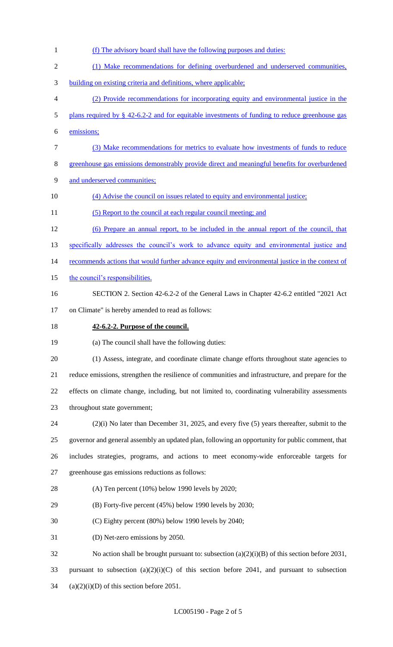(f) The advisory board shall have the following purposes and duties: (1) Make recommendations for defining overburdened and underserved communities, building on existing criteria and definitions, where applicable; (2) Provide recommendations for incorporating equity and environmental justice in the 5 plans required by § 42-6.2-2 and for equitable investments of funding to reduce greenhouse gas emissions; (3) Make recommendations for metrics to evaluate how investments of funds to reduce greenhouse gas emissions demonstrably provide direct and meaningful benefits for overburdened and underserved communities; (4) Advise the council on issues related to equity and environmental justice; 11 (5) Report to the council at each regular council meeting; and (6) Prepare an annual report, to be included in the annual report of the council, that 13 specifically addresses the council's work to advance equity and environmental justice and 14 recommends actions that would further advance equity and environmental justice in the context of 15 the council's responsibilities. SECTION 2. Section 42-6.2-2 of the General Laws in Chapter 42-6.2 entitled "2021 Act on Climate" is hereby amended to read as follows: **42-6.2-2. Purpose of the council.** (a) The council shall have the following duties: (1) Assess, integrate, and coordinate climate change efforts throughout state agencies to reduce emissions, strengthen the resilience of communities and infrastructure, and prepare for the effects on climate change, including, but not limited to, coordinating vulnerability assessments throughout state government; (2)(i) No later than December 31, 2025, and every five (5) years thereafter, submit to the governor and general assembly an updated plan, following an opportunity for public comment, that includes strategies, programs, and actions to meet economy-wide enforceable targets for greenhouse gas emissions reductions as follows: (A) Ten percent (10%) below 1990 levels by 2020; (B) Forty-five percent (45%) below 1990 levels by 2030; (C) Eighty percent (80%) below 1990 levels by 2040; (D) Net-zero emissions by 2050. No action shall be brought pursuant to: subsection (a)(2)(i)(B) of this section before 2031, 33 pursuant to subsection  $(a)(2)(i)(C)$  of this section before 2041, and pursuant to subsection 34 (a) $(2)(i)$ (D) of this section before 2051.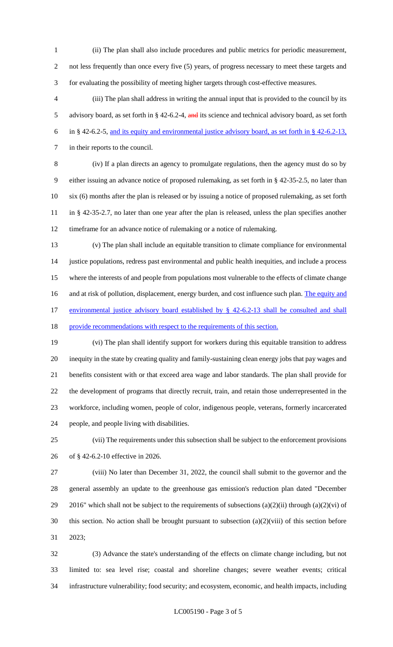(ii) The plan shall also include procedures and public metrics for periodic measurement,

2 not less frequently than once every five (5) years, of progress necessary to meet these targets and for evaluating the possibility of meeting higher targets through cost-effective measures.

 (iii) The plan shall address in writing the annual input that is provided to the council by its 5 advisory board, as set forth in § 42-6.2-4, and its science and technical advisory board, as set forth in § 42-6.2-5, and its equity and environmental justice advisory board, as set forth in § 42-6.2-13, in their reports to the council.

 (iv) If a plan directs an agency to promulgate regulations, then the agency must do so by either issuing an advance notice of proposed rulemaking, as set forth in § 42-35-2.5, no later than six (6) months after the plan is released or by issuing a notice of proposed rulemaking, as set forth in § 42-35-2.7, no later than one year after the plan is released, unless the plan specifies another timeframe for an advance notice of rulemaking or a notice of rulemaking.

 (v) The plan shall include an equitable transition to climate compliance for environmental justice populations, redress past environmental and public health inequities, and include a process where the interests of and people from populations most vulnerable to the effects of climate change 16 and at risk of pollution, displacement, energy burden, and cost influence such plan. The equity and 17 environmental justice advisory board established by § 42-6.2-13 shall be consulted and shall 18 provide recommendations with respect to the requirements of this section.

 (vi) The plan shall identify support for workers during this equitable transition to address inequity in the state by creating quality and family-sustaining clean energy jobs that pay wages and benefits consistent with or that exceed area wage and labor standards. The plan shall provide for the development of programs that directly recruit, train, and retain those underrepresented in the workforce, including women, people of color, indigenous people, veterans, formerly incarcerated people, and people living with disabilities.

 (vii) The requirements under this subsection shall be subject to the enforcement provisions of § 42-6.2-10 effective in 2026.

 (viii) No later than December 31, 2022, the council shall submit to the governor and the general assembly an update to the greenhouse gas emission's reduction plan dated "December 29 2016" which shall not be subject to the requirements of subsections  $(a)(2)(ii)$  through  $(a)(2)(vi)$  of this section. No action shall be brought pursuant to subsection (a)(2)(viii) of this section before 2023;

 (3) Advance the state's understanding of the effects on climate change including, but not limited to: sea level rise; coastal and shoreline changes; severe weather events; critical infrastructure vulnerability; food security; and ecosystem, economic, and health impacts, including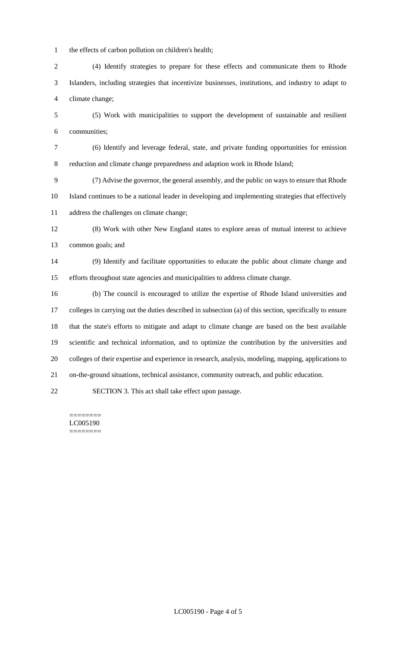the effects of carbon pollution on children's health;

 (4) Identify strategies to prepare for these effects and communicate them to Rhode Islanders, including strategies that incentivize businesses, institutions, and industry to adapt to climate change;

 (5) Work with municipalities to support the development of sustainable and resilient communities;

 (6) Identify and leverage federal, state, and private funding opportunities for emission reduction and climate change preparedness and adaption work in Rhode Island;

 (7) Advise the governor, the general assembly, and the public on ways to ensure that Rhode Island continues to be a national leader in developing and implementing strategies that effectively address the challenges on climate change;

 (8) Work with other New England states to explore areas of mutual interest to achieve common goals; and

 (9) Identify and facilitate opportunities to educate the public about climate change and efforts throughout state agencies and municipalities to address climate change.

 (b) The council is encouraged to utilize the expertise of Rhode Island universities and colleges in carrying out the duties described in subsection (a) of this section, specifically to ensure that the state's efforts to mitigate and adapt to climate change are based on the best available scientific and technical information, and to optimize the contribution by the universities and colleges of their expertise and experience in research, analysis, modeling, mapping, applications to on-the-ground situations, technical assistance, community outreach, and public education.

SECTION 3. This act shall take effect upon passage.

======== LC005190 ========